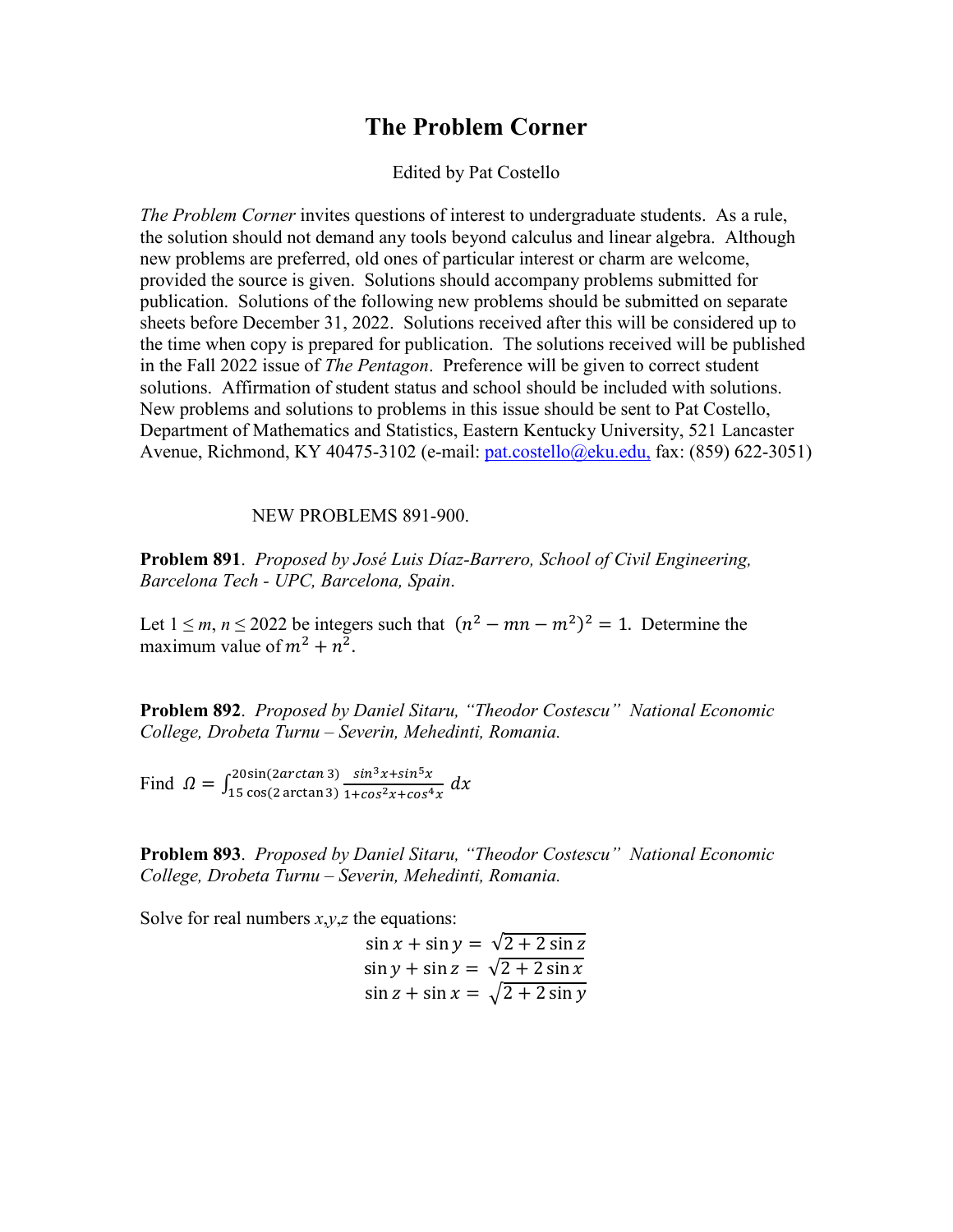## **The Problem Corner**

## Edited by Pat Costello

*The Problem Corner* invites questions of interest to undergraduate students. As a rule, the solution should not demand any tools beyond calculus and linear algebra. Although new problems are preferred, old ones of particular interest or charm are welcome, provided the source is given. Solutions should accompany problems submitted for publication. Solutions of the following new problems should be submitted on separate sheets before December 31, 2022. Solutions received after this will be considered up to the time when copy is prepared for publication. The solutions received will be published in the Fall 2022 issue of *The Pentagon*. Preference will be given to correct student solutions. Affirmation of student status and school should be included with solutions. New problems and solutions to problems in this issue should be sent to Pat Costello, Department of Mathematics and Statistics, Eastern Kentucky University, 521 Lancaster Avenue, Richmond, KY 40475-3102 (e-mail: [pat.costello@eku.edu,](mailto:pat.costello@eku.edu,) fax: (859) 622-3051)

NEW PROBLEMS 891-900.

**Problem 891**. *Proposed by José Luis Díaz-Barrero, School of Civil Engineering, Barcelona Tech - UPC, Barcelona, Spain*.

Let  $1 \le m, n \le 2022$  be integers such that  $(n^2 - mn - m^2)^2 = 1$ . Determine the maximum value of  $m^2 + n^2$ .

**Problem 892**. *Proposed by Daniel Sitaru, "Theodor Costescu" National Economic College, Drobeta Turnu – Severin, Mehedinti, Romania.*

Find  $\Omega = \int_{15}^{20\sin(2\arctan 3)} \frac{\sin^3 x + \sin^5 x}{1 + \cos^2 x + \cos^4 x} dx$ 

**Problem 893**. *Proposed by Daniel Sitaru, "Theodor Costescu" National Economic College, Drobeta Turnu – Severin, Mehedinti, Romania.*

Solve for real numbers *x*,*y*,*z* the equations:

 $\sin x + \sin y = \sqrt{2 + 2 \sin z}$  $\sin y + \sin z = \sqrt{2 + 2 \sin x}$  $\sin z + \sin x = \sqrt{2 + 2 \sin y}$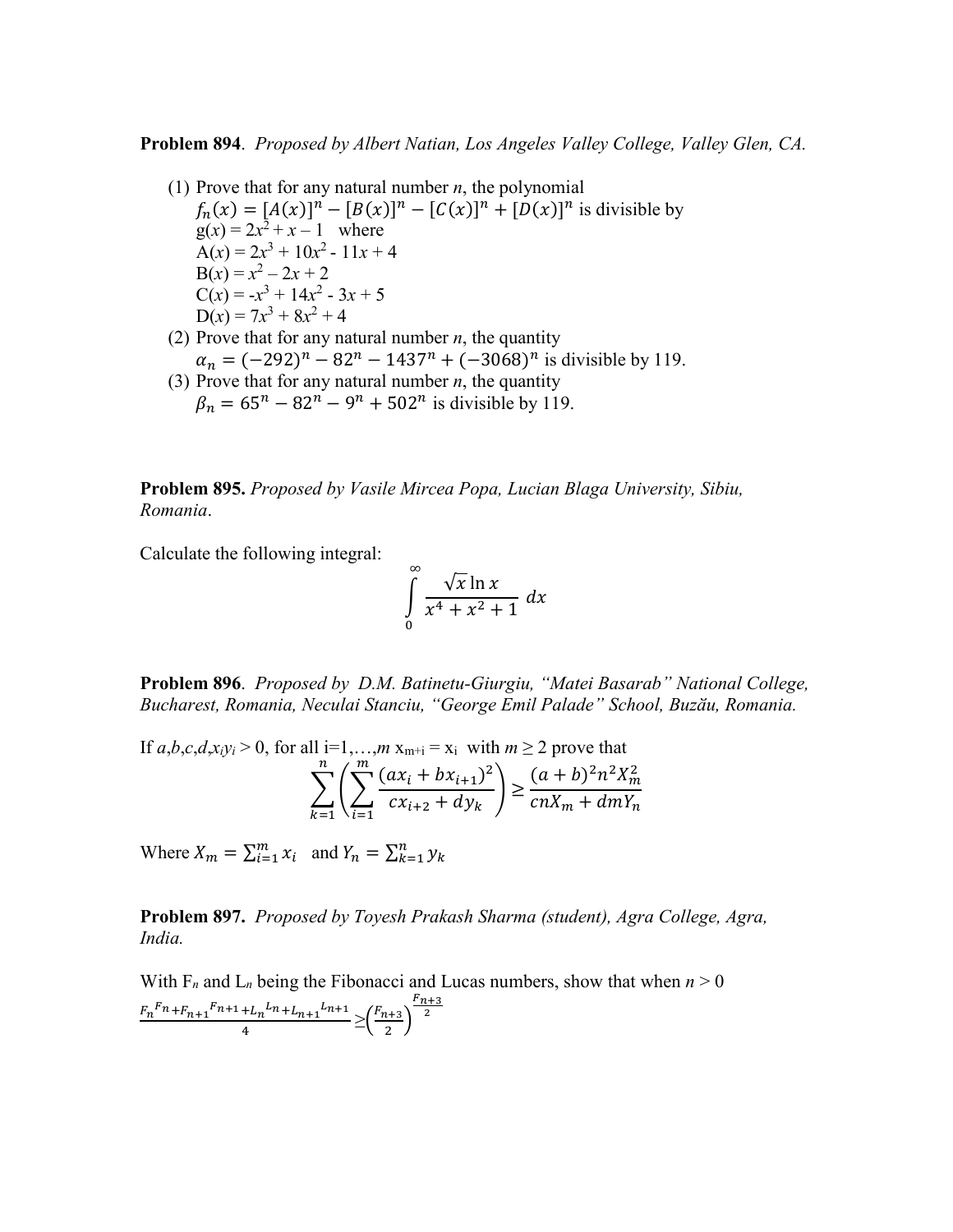**Problem 894**. *Proposed by Albert Natian, Los Angeles Valley College, Valley Glen, CA.*

- (1) Prove that for any natural number *n*, the polynomial  $f_n(x) = [A(x)]^n - [B(x)]^n - [C(x)]^n + [D(x)]^n$  is divisible by  $g(x) = 2x^2 + x - 1$  where  $\widetilde{A}(x) = 2x^3 + 10x^2 - 11x + 4$  $B(x) = x^2 - 2x + 2$  $C(x) = -x^3 + 14x^2 - 3x + 5$  $D(x) = 7x^3 + 8x^2 + 4$ (2) Prove that for any natural number *n*, the quantity
	- $\alpha_n = (-292)^n 82^n 1437^n + (-3068)^n$  is divisible by 119.
- (3) Prove that for any natural number *n*, the quantity  $\beta_n = 65^n - 82^n - 9^n + 502^n$  is divisible by 119.

**Problem 895.** *Proposed by Vasile Mircea Popa, Lucian Blaga University, Sibiu, Romania*.

Calculate the following integral:

$$
\int_{0}^{\infty} \frac{\sqrt{x} \ln x}{x^4 + x^2 + 1} \, dx
$$

**Problem 896**. *Proposed by D.M. Batinetu-Giurgiu, "Matei Basarab" National College, Bucharest, Romania, Neculai Stanciu, "George Emil Palade" School, Buzӑu, Romania.*

If 
$$
a, b, c, d, x_i y_i > 0
$$
, for all  $i=1,...,m$   $x_{m+i} = x_i$  with  $m \ge 2$  prove that\n
$$
\sum_{k=1}^{n} \left( \sum_{i=1}^{m} \frac{(ax_i + bx_{i+1})^2}{cx_{i+2} + dy_k} \right) \ge \frac{(a+b)^2 n^2 X_m^2}{cnX_m + dmY_n}
$$

Where  $X_m = \sum_{i=1}^m x_i$  and  $Y_n = \sum_{k=1}^n y_k$ 

**Problem 897.** *Proposed by Toyesh Prakash Sharma (student), Agra College, Agra, India.* 

With  $F_n$  and  $L_n$  being the Fibonacci and Lucas numbers, show that when  $n > 0$  $+\frac{F_n^F n+F_{n+1}^F n+1+L_n^F n+1}{4} \geq \left(\frac{F_{n+3}}{2}\right)^{\frac{F_{n+3}}{2}}$  $\frac{r_{n+3}}{2}$